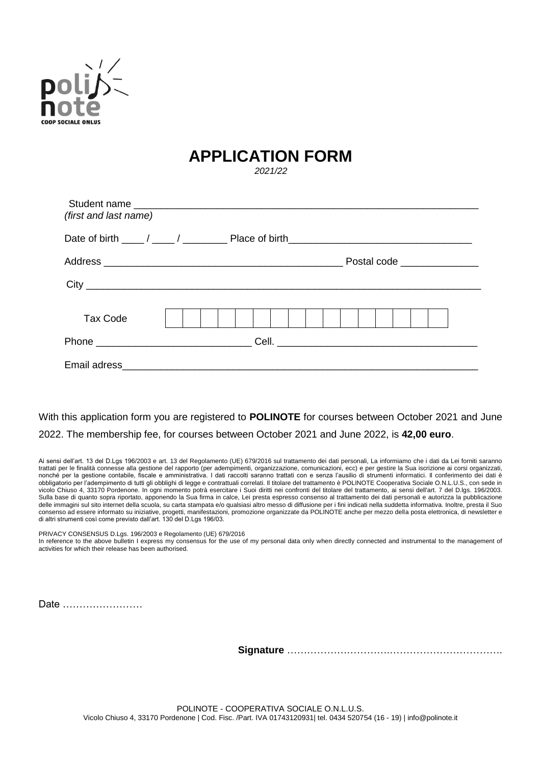

## **APPLICATION FORM**

*2021/22*

| (first and last name) |  |  |  |  |  |                              |
|-----------------------|--|--|--|--|--|------------------------------|
|                       |  |  |  |  |  |                              |
|                       |  |  |  |  |  | Postal code ________________ |
|                       |  |  |  |  |  |                              |
| <b>Tax Code</b>       |  |  |  |  |  |                              |
|                       |  |  |  |  |  |                              |
|                       |  |  |  |  |  |                              |

With this application form you are registered to **POLINOTE** for courses between October 2021 and June 2022. The membership fee, for courses between October 2021 and June 2022, is **42,00 euro**.

Ai sensi dell'art. 13 del D.Lgs 196/2003 e art. 13 del Regolamento (UE) 679/2016 sul trattamento dei dati personali, La informiamo che i dati da Lei forniti saranno trattati per le finalità connesse alla gestione del rapporto (per adempimenti, organizzazione, comunicazioni, ecc) e per gestire la Sua iscrizione ai corsi organizzati, nonché per la gestione contabile, fiscale e amministrativa. I dati raccolti saranno trattati con e senza l'ausilio di strumenti informatici. Il conferimento dei dati è obbligatorio per l'adempimento di tutti gli obblighi di legge e contrattuali correlati. Il titolare del trattamento è POLINOTE Cooperativa Sociale O.N.L.U.S., con sede in vicolo Chiuso 4, 33170 Pordenone. In ogni momento potrà esercitare i Suoi diritti nei confronti del titolare del trattamento, ai sensi dell'art. 7 del D.lgs. 196/2003. Sulla base di quanto sopra riportato, apponendo la Sua firma in calce, Lei presta espresso consenso al trattamento dei dati personali e autorizza la pubblicazione delle immagini sul sito internet della scuola, su carta stampata e/o qualsiasi altro messo di diffusione per i fini indicati nella suddetta informativa. Inoltre, presta il Suo consenso ad essere informato su iniziative, progetti, manifestazioni, promozione organizzate da POLINOTE anche per mezzo della posta elettronica, di newsletter e di altri strumenti così come previsto dall'art. 130 del D.Lgs 196/03.

PRIVACY CONSENSUS D.Lgs. 196/2003 e Regolamento (UE) 679/2016

In reference to the above bulletin I express my consensus for the use of my personal data only when directly connected and instrumental to the management of activities for which their release has been authorised.

Date ……………………

**Signature** ………………………….…………………………….